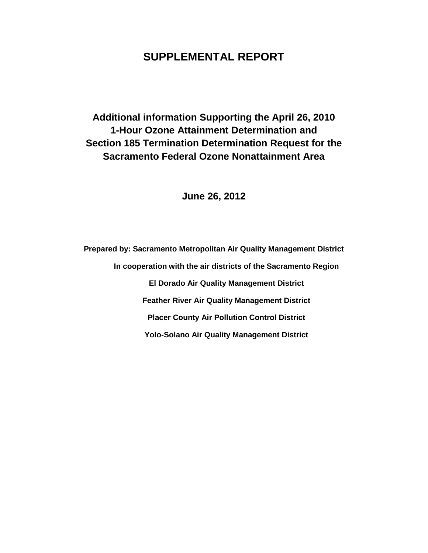# **SUPPLEMENTAL REPORT**

**Additional information Supporting the April 26, 2010 1-Hour Ozone Attainment Determination and Section 185 Termination Determination Request for the Sacramento Federal Ozone Nonattainment Area**

**June 26, 2012**

**Prepared by: Sacramento Metropolitan Air Quality Management District In cooperation with the air districts of the Sacramento Region El Dorado Air Quality Management District Feather River Air Quality Management District Placer County Air Pollution Control District Yolo-Solano Air Quality Management District**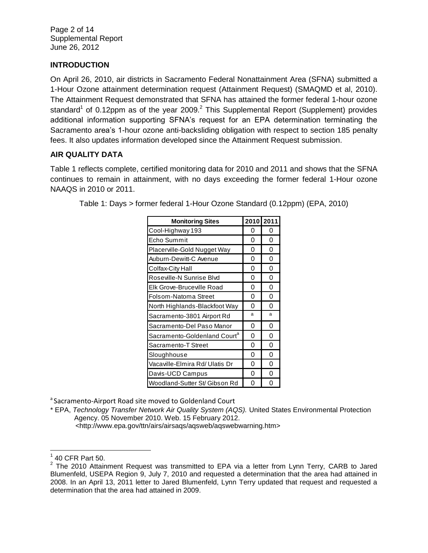Page 2 of 14 Supplemental Report June 26, 2012

# **INTRODUCTION**

On April 26, 2010, air districts in Sacramento Federal Nonattainment Area (SFNA) submitted a 1-Hour Ozone attainment determination request (Attainment Request) (SMAQMD et al, 2010). The Attainment Request demonstrated that SFNA has attained the former federal 1-hour ozone standard<sup>1</sup> of 0.12ppm as of the year 2009.<sup>2</sup> This Supplemental Report (Supplement) provides additional information supporting SFNA's request for an EPA determination terminating the Sacramento area's 1-hour ozone anti-backsliding obligation with respect to section 185 penalty fees. It also updates information developed since the Attainment Request submission.

# **AIR QUALITY DATA**

Table 1 reflects complete, certified monitoring data for 2010 and 2011 and shows that the SFNA continues to remain in attainment, with no days exceeding the former federal 1-Hour ozone NAAQS in 2010 or 2011.

| <b>Monitoring Sites</b>                  | 2010 2011 |   |
|------------------------------------------|-----------|---|
| Cool-Highway 193                         | 0         | 0 |
| Echo Summit                              | 0         | 0 |
| Placerville-Gold Nugget Way              | 0         | 0 |
| Auburn-Dewitt-C Avenue                   | 0         | 0 |
| Colfax-City Hall                         | 0         | 0 |
| Roseville-N Sunrise Blvd                 | 0         | 0 |
| Elk Grove-Bruceville Road                | 0         | 0 |
| Folsom-Natoma Street                     | 0         | 0 |
| North Highlands-Blackfoot Way            | 0         | 0 |
| Sacramento-3801 Airport Rd               | a         | a |
| Sacramento-Del Paso Manor                | 0         | 0 |
| Sacramento-Goldenland Court <sup>a</sup> | 0         | 0 |
| Sacramento-T Street                      | 0         | 0 |
| Sloughhouse                              | 0         | 0 |
| Vacaville-Elmira Rd/ Ulatis Dr           | 0         | 0 |
| Davis-UCD Campus                         | 0         | 0 |
| Woodland-Sutter St/ Gibson Rd            | 0         | 0 |

Table 1: Days > former federal 1-Hour Ozone Standard (0.12ppm) (EPA, 2010)

<sup>a</sup> Sacramento-Airport Road site moved to Goldenland Court

\* EPA, *Technology Transfer Network Air Quality System (AQS).* United States Environmental Protection Agency. 05 November 2010. Web. 15 February 2012.

<http://www.epa.gov/ttn/airs/airsaqs/aqsweb/aqswebwarning.htm>

l  $1$  40 CFR Part 50.

 $2$  The 2010 Attainment Request was transmitted to EPA via a letter from Lynn Terry, CARB to Jared Blumenfeld, USEPA Region 9, July 7, 2010 and requested a determination that the area had attained in 2008. In an April 13, 2011 letter to Jared Blumenfeld, Lynn Terry updated that request and requested a determination that the area had attained in 2009.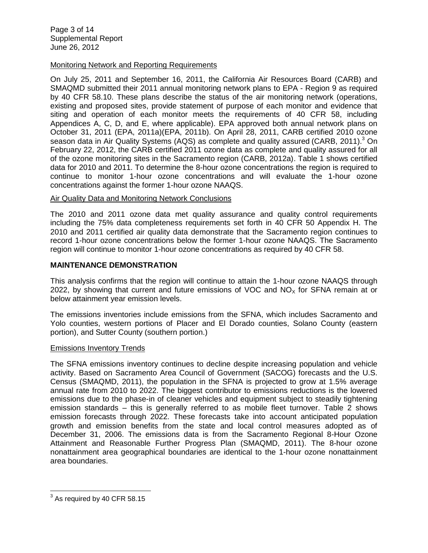#### Monitoring Network and Reporting Requirements

On July 25, 2011 and September 16, 2011, the California Air Resources Board (CARB) and SMAQMD submitted their 2011 annual monitoring network plans to EPA - Region 9 as required by 40 CFR 58.10. These plans describe the status of the air monitoring network (operations, existing and proposed sites, provide statement of purpose of each monitor and evidence that siting and operation of each monitor meets the requirements of 40 CFR 58, including Appendices A, C, D, and E, where applicable). EPA approved both annual network plans on October 31, 2011 (EPA, 2011a)(EPA, 2011b). On April 28, 2011, CARB certified 2010 ozone season data in Air Quality Systems (AQS) as complete and quality assured (CARB, 2011).<sup>3</sup> On February 22, 2012, the CARB certified 2011 ozone data as complete and quality assured for all of the ozone monitoring sites in the Sacramento region (CARB, 2012a). Table 1 shows certified data for 2010 and 2011. To determine the 8-hour ozone concentrations the region is required to continue to monitor 1-hour ozone concentrations and will evaluate the 1-hour ozone concentrations against the former 1-hour ozone NAAQS.

#### Air Quality Data and Monitoring Network Conclusions

The 2010 and 2011 ozone data met quality assurance and quality control requirements including the 75% data completeness requirements set forth in 40 CFR 50 Appendix H. The 2010 and 2011 certified air quality data demonstrate that the Sacramento region continues to record 1-hour ozone concentrations below the former 1-hour ozone NAAQS. The Sacramento region will continue to monitor 1-hour ozone concentrations as required by 40 CFR 58.

## **MAINTENANCE DEMONSTRATION**

This analysis confirms that the region will continue to attain the 1-hour ozone NAAQS through 2022, by showing that current and future emissions of VOC and  $NO<sub>x</sub>$  for SFNA remain at or below attainment year emission levels.

The emissions inventories include emissions from the SFNA, which includes Sacramento and Yolo counties, western portions of Placer and El Dorado counties, Solano County (eastern portion), and Sutter County (southern portion.)

#### Emissions Inventory Trends

The SFNA emissions inventory continues to decline despite increasing population and vehicle activity. Based on Sacramento Area Council of Government (SACOG) forecasts and the U.S. Census (SMAQMD, 2011), the population in the SFNA is projected to grow at 1.5% average annual rate from 2010 to 2022. The biggest contributor to emissions reductions is the lowered emissions due to the phase-in of cleaner vehicles and equipment subject to steadily tightening emission standards – this is generally referred to as mobile fleet turnover. Table 2 shows emission forecasts through 2022. These forecasts take into account anticipated population growth and emission benefits from the state and local control measures adopted as of December 31, 2006. The emissions data is from the Sacramento Regional 8-Hour Ozone Attainment and Reasonable Further Progress Plan (SMAQMD, 2011). The 8-hour ozone nonattainment area geographical boundaries are identical to the 1-hour ozone nonattainment area boundaries.

 3 As required by 40 CFR 58.15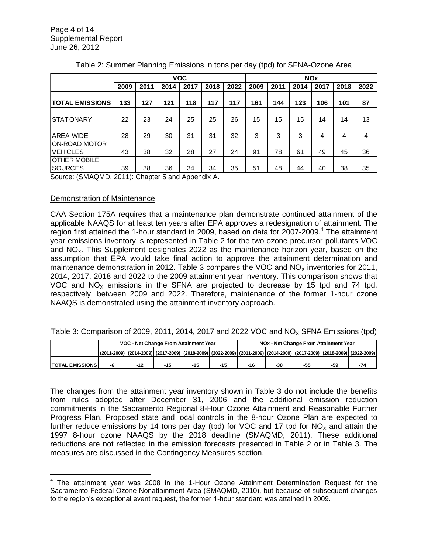|                                  | <b>VOC</b> |      |      |      | <b>NO<sub>x</sub></b> |      |      |      |      |      |      |      |
|----------------------------------|------------|------|------|------|-----------------------|------|------|------|------|------|------|------|
|                                  | 2009       | 2011 | 2014 | 2017 | 2018                  | 2022 | 2009 | 2011 | 2014 | 2017 | 2018 | 2022 |
| <b>TOTAL EMISSIONS</b>           | 133        | 127  | 121  | 118  | 117                   | 117  | 161  | 144  | 123  | 106  | 101  | 87   |
| <b>STATIONARY</b>                | 22         | 23   | 24   | 25   | 25                    | 26   | 15   | 15   | 15   | 14   | 14   | 13   |
| AREA-WIDE                        | 28         | 29   | 30   | 31   | 31                    | 32   | 3    | 3    | 3    | 4    | 4    | 4    |
| ON-ROAD MOTOR<br><b>VEHICLES</b> | 43         | 38   | 32   | 28   | 27                    | 24   | 91   | 78   | 61   | 49   | 45   | 36   |
| OTHER MOBILE<br><b>SOURCES</b>   | 39         | 38   | 36   | 34   | 34                    | 35   | 51   | 48   | 44   | 40   | 38   | 35   |

|  |  | Table 2: Summer Planning Emissions in tons per day (tpd) for SFNA-Ozone Area |
|--|--|------------------------------------------------------------------------------|
|--|--|------------------------------------------------------------------------------|

Source: (SMAQMD, 2011): Chapter 5 and Appendix A.

#### Demonstration of Maintenance

CAA Section 175A requires that a maintenance plan demonstrate continued attainment of the applicable NAAQS for at least ten years after EPA approves a redesignation of attainment. The region first attained the 1-hour standard in 2009, based on data for 2007-2009.<sup>4</sup> The attainment year emissions inventory is represented in Table 2 for the two ozone precursor pollutants VOC and  $NO<sub>x</sub>$ . This Supplement designates 2022 as the maintenance horizon year, based on the assumption that EPA would take final action to approve the attainment determination and maintenance demonstration in 2012. Table 3 compares the VOC and  $NO<sub>x</sub>$  inventories for 2011, 2014, 2017, 2018 and 2022 to the 2009 attainment year inventory. This comparison shows that VOC and  $NO<sub>x</sub>$  emissions in the SFNA are projected to decrease by 15 tpd and 74 tpd, respectively, between 2009 and 2022. Therefore, maintenance of the former 1-hour ozone NAAQS is demonstrated using the attainment inventory approach.

|  |  | Table 3: Comparison of 2009, 2011, 2014, 2017 and 2022 VOC and $NO_x$ SFNA Emissions (tpd) |  |
|--|--|--------------------------------------------------------------------------------------------|--|
|--|--|--------------------------------------------------------------------------------------------|--|

|                        | VOC - Net Change From Attainment Year |  |  |  | NOx - Net Change From Attainment Year                                                                                   |       |       |     |     |     |
|------------------------|---------------------------------------|--|--|--|-------------------------------------------------------------------------------------------------------------------------|-------|-------|-----|-----|-----|
|                        |                                       |  |  |  | (2011-2009) (2014-2009) (2017-2009) (2018-2009) (2022-2009) (2011-2009) (2014-2009) (2017-2009) (2018-2009) (2022-2009) |       |       |     |     |     |
| <b>TOTAL EMISSIONS</b> | -6                                    |  |  |  | -15                                                                                                                     | $-16$ | $-38$ | -55 | -59 | -74 |

The changes from the attainment year inventory shown in Table 3 do not include the benefits from rules adopted after December 31, 2006 and the additional emission reduction commitments in the Sacramento Regional 8-Hour Ozone Attainment and Reasonable Further Progress Plan. Proposed state and local controls in the 8-hour Ozone Plan are expected to further reduce emissions by 14 tons per day (tpd) for VOC and 17 tpd for  $NO<sub>x</sub>$  and attain the 1997 8-hour ozone NAAQS by the 2018 deadline (SMAQMD, 2011). These additional reductions are not reflected in the emission forecasts presented in Table 2 or in Table 3. The measures are discussed in the Contingency Measures section.  $\frac{1}{10}$  rates duopica and December 31, 2000 and the additional emission reduction

 $\overline{\phantom{a}}$ <sup>4</sup> The attainment year was 2008 in the 1-Hour Ozone Attainment Determination Request for the Sacramento Federal Ozone Nonattainment Area (SMAQMD, 2010), but because of subsequent changes to the region's exceptional event request, the former 1-hour standard was attained in 2009.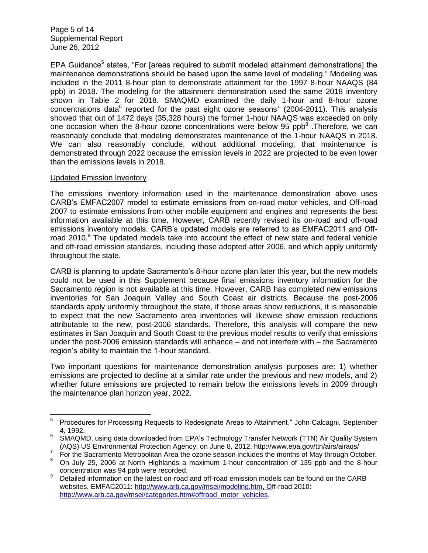Page 5 of 14 Supplemental Report June 26, 2012

EPA Guidance<sup>5</sup> states, "For [areas required to submit modeled attainment demonstrations] the maintenance demonstrations should be based upon the same level of modeling." Modeling was included in the 2011 8-hour plan to demonstrate attainment for the 1997 8-hour NAAQS (84 ppb) in 2018. The modeling for the attainment demonstration used the same 2018 inventory shown in Table 2 for 2018. SMAQMD examined the daily 1-hour and 8-hour ozone concentrations data<sup>6</sup> reported for the past eight ozone seasons<sup>7</sup> (2004-2011). This analysis showed that out of 1472 days (35,328 hours) the former 1-hour NAAQS was exceeded on only one occasion when the 8-hour ozone concentrations were below 95 ppb $^8$ . Therefore, we can reasonably conclude that modeling demonstrates maintenance of the 1-hour NAAQS in 2018. We can also reasonably conclude, without additional modeling, that maintenance is demonstrated through 2022 because the emission levels in 2022 are projected to be even lower than the emissions levels in 2018.

#### Updated Emission Inventory

The emissions inventory information used in the maintenance demonstration above uses CARB's EMFAC2007 model to estimate emissions from on-road motor vehicles, and Off-road 2007 to estimate emissions from other mobile equipment and engines and represents the best information available at this time. However, CARB recently revised its on-road and off-road emissions inventory models. CARB's updated models are referred to as EMFAC2011 and Offroad 2010. $9$  The updated models take into account the effect of new state and federal vehicle and off-road emission standards, including those adopted after 2006, and which apply uniformly throughout the state.

CARB is planning to update Sacramento's 8-hour ozone plan later this year, but the new models could not be used in this Supplement because final emissions inventory information for the Sacramento region is not available at this time. However, CARB has completed new emissions inventories for San Joaquin Valley and South Coast air districts. Because the post-2006 standards apply uniformly throughout the state, if those areas show reductions, it is reasonable to expect that the new Sacramento area inventories will likewise show emission reductions attributable to the new, post-2006 standards. Therefore, this analysis will compare the new estimates in San Joaquin and South Coast to the previous model results to verify that emissions under the post-2006 emission standards will enhance – and not interfere with – the Sacramento region's ability to maintain the 1-hour standard.

Two important questions for maintenance demonstration analysis purposes are: 1) whether emissions are projected to decline at a similar rate under the previous and new models, and 2) whether future emissions are projected to remain below the emissions levels in 2009 through the maintenance plan horizon year, 2022.

<sup>————————————————————&</sup>lt;br><sup>5</sup> "Procedures for Processing Requests to Redesignate Areas to Attainment," John Calcagni, September 4, 1992.

<sup>6</sup> SMAQMD, using data downloaded from EPA's Technology Transfer Network (TTN) Air Quality System (AQS) US Environmental Protection Agency, on June 8, 2012. http://www.epa.gov/ttn/airs/airaqs/

 $7$  For the Sacramento Metropolitan Area the ozone season includes the months of May through October.

<sup>8</sup> On July 25, 2006 at North Highlands a maximum 1-hour concentration of 135 ppb and the 8-hour concentration was 94 ppb were recorded.

Detailed information on the latest on-road and off-road emission models can be found on the CARB websites. EMFAC2011: [http://www.arb.ca.gov/msei/modeling.htm,](http://www.arb.ca.gov/msei/modeling.htm) Off-road 2010: [http://www.arb.ca.gov/msei/categories.htm#offroad\\_motor\\_vehicles.](http://www.arb.ca.gov/msei/categories.htm#offroad_motor_vehicles)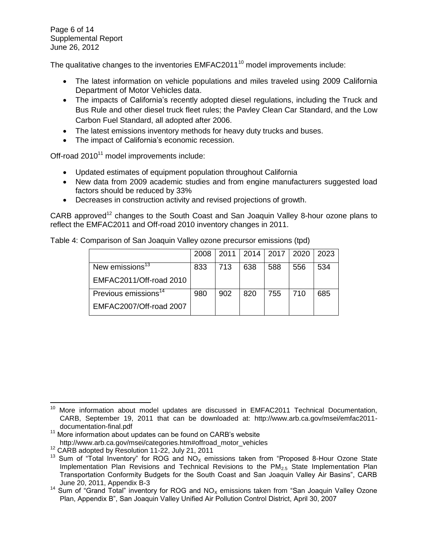Page 6 of 14 Supplemental Report June 26, 2012

The qualitative changes to the inventories EMFAC2011<sup>10</sup> model improvements include:

- The latest information on vehicle populations and miles traveled using 2009 California Department of Motor Vehicles data.
- The impacts of California's recently adopted diesel regulations, including the Truck and Bus Rule and other diesel truck fleet rules; the Pavley Clean Car Standard, and the Low Carbon Fuel Standard, all adopted after 2006.
- The latest emissions inventory methods for heavy duty trucks and buses.
- The impact of California's economic recession.

Off-road 2010<sup>11</sup> model improvements include:

- Updated estimates of equipment population throughout California
- New data from 2009 academic studies and from engine manufacturers suggested load factors should be reduced by 33%
- Decreases in construction activity and revised projections of growth.

CARB approved<sup>12</sup> changes to the South Coast and San Joaquin Valley 8-hour ozone plans to reflect the EMFAC2011 and Off-road 2010 inventory changes in 2011.

|                                  | 2008 | $2011 \perp$ |     | 2014   2017 | 2020 | 2023 |
|----------------------------------|------|--------------|-----|-------------|------|------|
| New emissions <sup>13</sup>      | 833  | 713          | 638 | 588         | 556  | 534  |
| EMFAC2011/Off-road 2010          |      |              |     |             |      |      |
| Previous emissions <sup>14</sup> | 980  | 902          | 820 | 755         | 710  | 685  |
| EMFAC2007/Off-road 2007          |      |              |     |             |      |      |

Table 4: Comparison of San Joaquin Valley ozone precursor emissions (tpd)

 $\overline{a}$ <sup>10</sup> More information about model updates are discussed in EMFAC2011 Technical Documentation, CARB, September 19, 2011 that can be downloaded at: http://www.arb.ca.gov/msei/emfac2011 documentation-final.pdf

 $11$  More information about updates can be found on CARB's website http://www.arb.ca.gov/msei/categories.htm#offroad\_motor\_vehicles

<sup>&</sup>lt;sup>12</sup> CARB adopted by Resolution 11-22, July 21, 2011

<sup>&</sup>lt;sup>13</sup> Sum of "Total Inventory" for ROG and NO<sub>x</sub> emissions taken from "Proposed 8-Hour Ozone State Implementation Plan Revisions and Technical Revisions to the  $PM<sub>2.5</sub>$  State Implementation Plan Transportation Conformity Budgets for the South Coast and San Joaquin Valley Air Basins", CARB June 20, 2011, Appendix B-3

<sup>&</sup>lt;sup>14</sup> Sum of "Grand Total" inventory for ROG and NO<sub>x</sub> emissions taken from "San Joaquin Valley Ozone Plan, Appendix B", San Joaquin Valley Unified Air Pollution Control District, April 30, 2007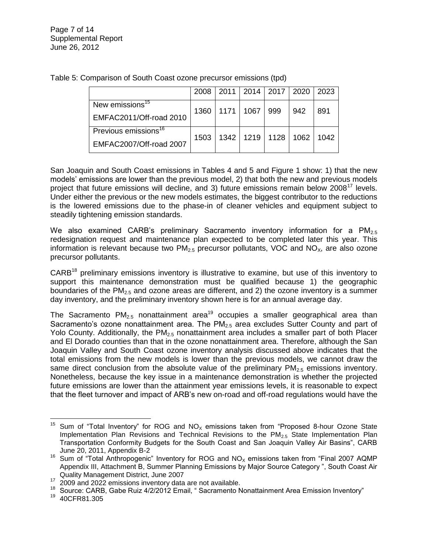|                                  | 2008 |             | 2011   2014   2017   2020 |                           | 2023 |
|----------------------------------|------|-------------|---------------------------|---------------------------|------|
| New emissions <sup>15</sup>      | 1360 | 1171   1067 | 999                       | 942                       | 891  |
| EMFAC2011/Off-road 2010          |      |             |                           |                           |      |
| Previous emissions <sup>16</sup> | 1503 |             |                           | 1342   1219   1128   1062 | 1042 |
| EMFAC2007/Off-road 2007          |      |             |                           |                           |      |

Table 5: Comparison of South Coast ozone precursor emissions (tpd)

San Joaquin and South Coast emissions in Tables 4 and 5 and Figure 1 show: 1) that the new models' emissions are lower than the previous model, 2) that both the new and previous models project that future emissions will decline, and 3) future emissions remain below  $2008^{17}$  levels. Under either the previous or the new models estimates, the biggest contributor to the reductions is the lowered emissions due to the phase-in of cleaner vehicles and equipment subject to steadily tightening emission standards.

We also examined CARB's preliminary Sacramento inventory information for a  $PM_{2.5}$ redesignation request and maintenance plan expected to be completed later this year. This information is relevant because two  $PM_{2.5}$  precursor pollutants, VOC and NO<sub>x</sub>, are also ozone precursor pollutants.

CARB<sup>18</sup> preliminary emissions inventory is illustrative to examine, but use of this inventory to support this maintenance demonstration must be qualified because 1) the geographic boundaries of the PM<sub>2.5</sub> and ozone areas are different, and 2) the ozone inventory is a summer day inventory, and the preliminary inventory shown here is for an annual average day.

The Sacramento  $PM_{2.5}$  nonattainment area<sup>19</sup> occupies a smaller geographical area than Sacramento's ozone nonattainment area. The  $PM<sub>25</sub>$  area excludes Sutter County and part of Yolo County. Additionally, the  $PM_{2.5}$  nonattainment area includes a smaller part of both Placer and El Dorado counties than that in the ozone nonattainment area. Therefore, although the San Joaquin Valley and South Coast ozone inventory analysis discussed above indicates that the total emissions from the new models is lower than the previous models, we cannot draw the same direct conclusion from the absolute value of the preliminary  $PM_{2.5}$  emissions inventory. Nonetheless, because the key issue in a maintenance demonstration is whether the projected future emissions are lower than the attainment year emissions levels, it is reasonable to expect that the fleet turnover and impact of ARB's new on-road and off-road regulations would have the

 $\overline{\phantom{a}}$ Sum of "Total Inventory" for ROG and  $NO<sub>x</sub>$  emissions taken from "Proposed 8-hour Ozone State Implementation Plan Revisions and Technical Revisions to the  $PM<sub>2.5</sub>$  State Implementation Plan Transportation Conformity Budgets for the South Coast and San Joaquin Valley Air Basins", CARB June 20, 2011, Appendix B-2

<sup>&</sup>lt;sup>16</sup> Sum of "Total Anthropogenic" Inventory for ROG and  $NO<sub>X</sub>$  emissions taken from "Final 2007 AQMP Appendix III, Attachment B, Summer Planning Emissions by Major Source Category ", South Coast Air Quality Management District, June 2007

<sup>&</sup>lt;sup>17</sup> 2009 and 2022 emissions inventory data are not available.

<sup>&</sup>lt;sup>18</sup> Source: CARB, Gabe Ruiz 4/2/2012 Email, "Sacramento Nonattainment Area Emission Inventory"<br><sup>19</sup> 40CER81.305

<sup>19</sup> 40CFR81.305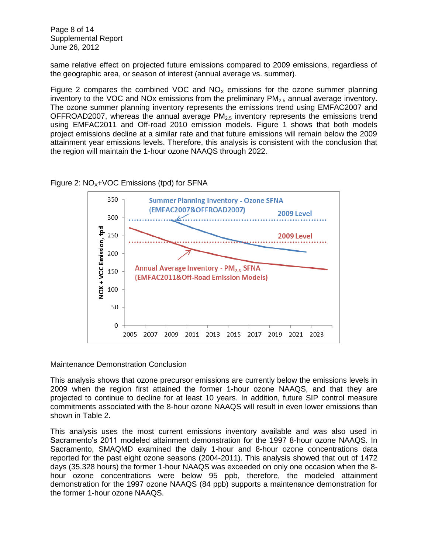Page 8 of 14 Supplemental Report June 26, 2012

same relative effect on projected future emissions compared to 2009 emissions, regardless of the geographic area, or season of interest (annual average vs. summer).

Figure 2 compares the combined VOC and  $NO<sub>x</sub>$  emissions for the ozone summer planning inventory to the VOC and NOx emissions from the preliminary  $PM_{2.5}$  annual average inventory. The ozone summer planning inventory represents the emissions trend using EMFAC2007 and OFFROAD2007, whereas the annual average  $PM<sub>2.5</sub>$  inventory represents the emissions trend using EMFAC2011 and Off-road 2010 emission models. Figure 1 shows that both models project emissions decline at a similar rate and that future emissions will remain below the 2009 attainment year emissions levels. Therefore, this analysis is consistent with the conclusion that the region will maintain the 1-hour ozone NAAQS through 2022.

#### Figure 2:  $NO<sub>x</sub>+VOC$  Emissions (tpd) for SFNA



#### Maintenance Demonstration Conclusion

This analysis shows that ozone precursor emissions are currently below the emissions levels in 2009 when the region first attained the former 1-hour ozone NAAQS, and that they are projected to continue to decline for at least 10 years. In addition, future SIP control measure commitments associated with the 8-hour ozone NAAQS will result in even lower emissions than shown in Table 2.

This analysis uses the most current emissions inventory available and was also used in Sacramento's 2011 modeled attainment demonstration for the 1997 8-hour ozone NAAQS. In Sacramento, SMAQMD examined the daily 1-hour and 8-hour ozone concentrations data reported for the past eight ozone seasons (2004-2011). This analysis showed that out of 1472 days (35,328 hours) the former 1-hour NAAQS was exceeded on only one occasion when the 8 hour ozone concentrations were below 95 ppb, therefore, the modeled attainment demonstration for the 1997 ozone NAAQS (84 ppb) supports a maintenance demonstration for the former 1-hour ozone NAAQS.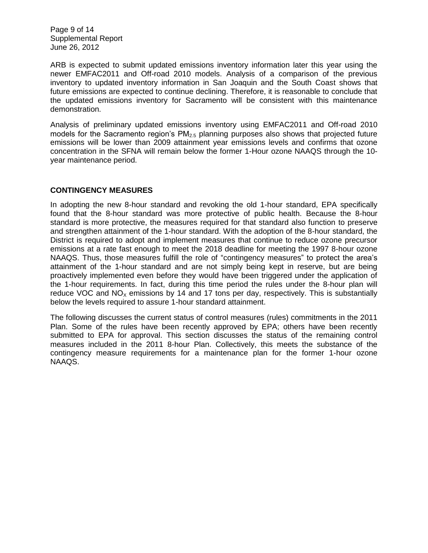Page 9 of 14 Supplemental Report June 26, 2012

ARB is expected to submit updated emissions inventory information later this year using the newer EMFAC2011 and Off-road 2010 models. Analysis of a comparison of the previous inventory to updated inventory information in San Joaquin and the South Coast shows that future emissions are expected to continue declining. Therefore, it is reasonable to conclude that the updated emissions inventory for Sacramento will be consistent with this maintenance demonstration.

Analysis of preliminary updated emissions inventory using EMFAC2011 and Off-road 2010 models for the Sacramento region's  $PM_{2.5}$  planning purposes also shows that projected future emissions will be lower than 2009 attainment year emissions levels and confirms that ozone concentration in the SFNA will remain below the former 1-Hour ozone NAAQS through the 10 year maintenance period.

#### **CONTINGENCY MEASURES**

In adopting the new 8-hour standard and revoking the old 1-hour standard, EPA specifically found that the 8-hour standard was more protective of public health. Because the 8-hour standard is more protective, the measures required for that standard also function to preserve and strengthen attainment of the 1-hour standard. With the adoption of the 8-hour standard, the District is required to adopt and implement measures that continue to reduce ozone precursor emissions at a rate fast enough to meet the 2018 deadline for meeting the 1997 8-hour ozone NAAQS. Thus, those measures fulfill the role of "contingency measures" to protect the area's attainment of the 1-hour standard and are not simply being kept in reserve, but are being proactively implemented even before they would have been triggered under the application of the 1-hour requirements. In fact, during this time period the rules under the 8-hour plan will reduce VOC and  $NO<sub>x</sub>$  emissions by 14 and 17 tons per day, respectively. This is substantially below the levels required to assure 1-hour standard attainment.

The following discusses the current status of control measures (rules) commitments in the 2011 Plan. Some of the rules have been recently approved by EPA; others have been recently submitted to EPA for approval. This section discusses the status of the remaining control measures included in the 2011 8-hour Plan. Collectively, this meets the substance of the contingency measure requirements for a maintenance plan for the former 1-hour ozone NAAQS.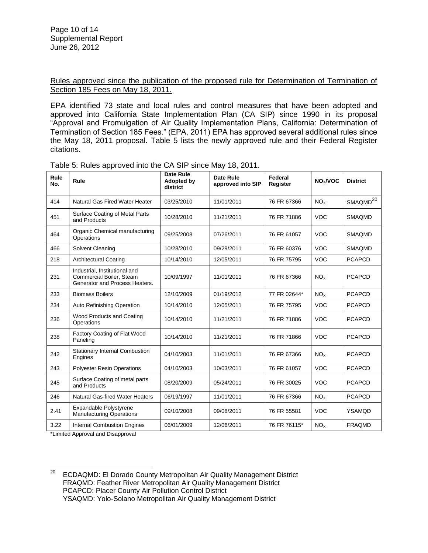Rules approved since the publication of the proposed rule for Determination of Termination of Section 185 Fees on May 18, 2011.

EPA identified 73 state and local rules and control measures that have been adopted and approved into California State Implementation Plan (CA SIP) since 1990 in its proposal "Approval and Promulgation of Air Quality Implementation Plans, California: Determination of Termination of Section 185 Fees." (EPA, 2011) EPA has approved several additional rules since the May 18, 2011 proposal. Table 5 lists the newly approved rule and their Federal Register citations.

| Rule<br>No. | Rule                                                                                        | <b>Date Rule</b><br>Adopted by<br>district | <b>Date Rule</b><br>approved into SIP | Federal<br>Register | NO <sub>x</sub> /VOC | <b>District</b>      |
|-------------|---------------------------------------------------------------------------------------------|--------------------------------------------|---------------------------------------|---------------------|----------------------|----------------------|
| 414         | Natural Gas Fired Water Heater                                                              | 03/25/2010                                 | 11/01/2011                            | 76 FR 67366         | NO <sub>x</sub>      | SMAQMD <sup>20</sup> |
| 451         | Surface Coating of Metal Parts<br>and Products                                              | 10/28/2010                                 | 11/21/2011                            | 76 FR 71886         | <b>VOC</b>           | <b>SMAQMD</b>        |
| 464         | Organic Chemical manufacturing<br>Operations                                                | 09/25/2008                                 | 07/26/2011                            | 76 FR 61057         | <b>VOC</b>           | <b>SMAQMD</b>        |
| 466         | Solvent Cleaning                                                                            | 10/28/2010                                 | 09/29/2011                            | 76 FR 60376         | <b>VOC</b>           | <b>SMAQMD</b>        |
| 218         | <b>Architectural Coating</b>                                                                | 10/14/2010                                 | 12/05/2011                            | 76 FR 75795         | <b>VOC</b>           | <b>PCAPCD</b>        |
| 231         | Industrial, Institutional and<br>Commercial Boiler, Steam<br>Generator and Process Heaters. | 10/09/1997                                 | 11/01/2011                            | 76 FR 67366         | NO <sub>x</sub>      | <b>PCAPCD</b>        |
| 233         | <b>Biomass Boilers</b>                                                                      | 12/10/2009                                 | 01/19/2012                            | 77 FR 02644*        | NO <sub>x</sub>      | <b>PCAPCD</b>        |
| 234         | Auto Refinishing Operation                                                                  | 10/14/2010                                 | 12/05/2011                            | 76 FR 75795         | <b>VOC</b>           | <b>PCAPCD</b>        |
| 236         | Wood Products and Coating<br>Operations                                                     | 10/14/2010                                 | 11/21/2011                            | 76 FR 71886         | <b>VOC</b>           | <b>PCAPCD</b>        |
| 238         | Factory Coating of Flat Wood<br>Paneling                                                    | 10/14/2010                                 | 11/21/2011                            | 76 FR 71866         | <b>VOC</b>           | <b>PCAPCD</b>        |
| 242         | <b>Stationary Internal Combustion</b><br>Engines                                            | 04/10/2003                                 | 11/01/2011                            | 76 FR 67366         | NO <sub>x</sub>      | <b>PCAPCD</b>        |
| 243         | <b>Polyester Resin Operations</b>                                                           | 04/10/2003                                 | 10/03/2011                            | 76 FR 61057         | <b>VOC</b>           | <b>PCAPCD</b>        |
| 245         | Surface Coating of metal parts<br>and Products                                              | 08/20/2009                                 | 05/24/2011                            | 76 FR 30025         | <b>VOC</b>           | <b>PCAPCD</b>        |
| 246         | Natural Gas-fired Water Heaters                                                             | 06/19/1997                                 | 11/01/2011                            | 76 FR 67366         | NO <sub>x</sub>      | <b>PCAPCD</b>        |
| 2.41        | Expandable Polystyrene<br><b>Manufacturing Operations</b>                                   | 09/10/2008                                 | 09/08/2011                            | 76 FR 55581         | <b>VOC</b>           | <b>YSAMQD</b>        |
| 3.22        | <b>Internal Combustion Engines</b><br>$\mathbf{A}$                                          | 06/01/2009                                 | 12/06/2011                            | 76 FR 76115*        | NO <sub>x</sub>      | <b>FRAQMD</b>        |

Table 5: Rules approved into the CA SIP since May 18, 2011.

\*Limited Approval and Disapproval

20 <sup>20</sup> ECDAQMD: El Dorado County Metropolitan Air Quality Management District FRAQMD: Feather River Metropolitan Air Quality Management District PCAPCD: Placer County Air Pollution Control District YSAQMD: Yolo-Solano Metropolitan Air Quality Management District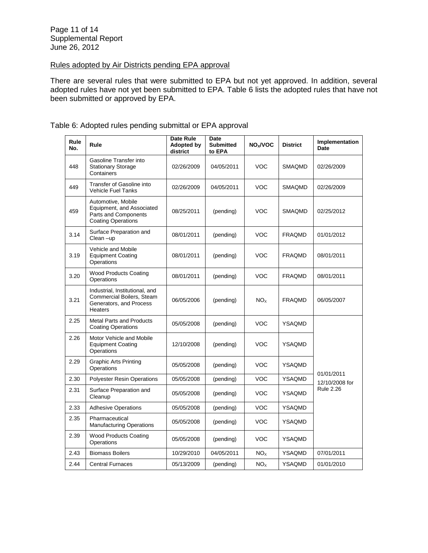## Rules adopted by Air Districts pending EPA approval

There are several rules that were submitted to EPA but not yet approved. In addition, several adopted rules have not yet been submitted to EPA. Table 6 lists the adopted rules that have not been submitted or approved by EPA.

| Rule<br>No. | Rule                                                                                                 | Date Rule<br>Adopted by<br>district | Date<br><b>Submitted</b><br>to EPA | NO <sub>x</sub> /VOC | <b>District</b> | Implementation<br>Date       |
|-------------|------------------------------------------------------------------------------------------------------|-------------------------------------|------------------------------------|----------------------|-----------------|------------------------------|
| 448         | Gasoline Transfer into<br><b>Stationary Storage</b><br>Containers                                    | 02/26/2009                          | 04/05/2011                         | VOC                  | <b>SMAQMD</b>   | 02/26/2009                   |
| 449         | Transfer of Gasoline into<br><b>Vehicle Fuel Tanks</b>                                               | 02/26/2009                          | 04/05/2011                         | <b>VOC</b>           | <b>SMAQMD</b>   | 02/26/2009                   |
| 459         | Automotive, Mobile<br>Equipment, and Associated<br>Parts and Components<br><b>Coating Operations</b> | 08/25/2011                          | (pending)                          | VOC                  | SMAQMD          | 02/25/2012                   |
| 3.14        | Surface Preparation and<br>Clean-up                                                                  | 08/01/2011                          | (pending)                          | <b>VOC</b>           | <b>FRAQMD</b>   | 01/01/2012                   |
| 3.19        | Vehicle and Mobile<br><b>Equipment Coating</b><br>Operations                                         | 08/01/2011                          | (pending)                          | <b>VOC</b>           | <b>FRAQMD</b>   | 08/01/2011                   |
| 3.20        | <b>Wood Products Coating</b><br>Operations                                                           | 08/01/2011                          | (pending)                          | <b>VOC</b>           | <b>FRAQMD</b>   | 08/01/2011                   |
| 3.21        | Industrial, Institutional, and<br>Commercial Boilers, Steam<br>Generators, and Process<br>Heaters    | 06/05/2006                          | (pending)                          | NO <sub>x</sub>      | <b>FRAQMD</b>   | 06/05/2007                   |
| 2.25        | <b>Metal Parts and Products</b><br><b>Coating Operations</b>                                         | 05/05/2008                          | (pending)                          | <b>VOC</b>           | <b>YSAQMD</b>   |                              |
| 2.26        | Motor Vehicle and Mobile<br><b>Equipment Coating</b><br>Operations                                   | 12/10/2008                          | (pending)                          | VOC                  | YSAQMD          |                              |
| 2.29        | <b>Graphic Arts Printing</b><br>Operations                                                           | 05/05/2008                          | (pending)                          | <b>VOC</b>           | <b>YSAQMD</b>   |                              |
| 2.30        | <b>Polyester Resin Operations</b>                                                                    | 05/05/2008                          | (pending)                          | <b>VOC</b>           | <b>YSAQMD</b>   | 01/01/2011<br>12/10/2008 for |
| 2.31        | Surface Preparation and<br>Cleanup                                                                   | 05/05/2008                          | (pending)                          | <b>VOC</b>           | YSAQMD          | <b>Rule 2.26</b>             |
| 2.33        | <b>Adhesive Operations</b>                                                                           | 05/05/2008                          | (pending)                          | <b>VOC</b>           | <b>YSAQMD</b>   |                              |
| 2.35        | Pharmaceutical<br><b>Manufacturing Operations</b>                                                    | 05/05/2008                          | (pending)                          | VOC                  | YSAQMD          |                              |
| 2.39        | <b>Wood Products Coating</b><br>Operations                                                           | 05/05/2008                          | (pending)                          | VOC                  | YSAQMD          |                              |
| 2.43        | <b>Biomass Boilers</b>                                                                               | 10/29/2010                          | 04/05/2011                         | NO <sub>x</sub>      | YSAQMD          | 07/01/2011                   |
| 2.44        | <b>Central Furnaces</b>                                                                              | 05/13/2009                          | (pending)                          | NO <sub>x</sub>      | YSAQMD          | 01/01/2010                   |

# Table 6: Adopted rules pending submittal or EPA approval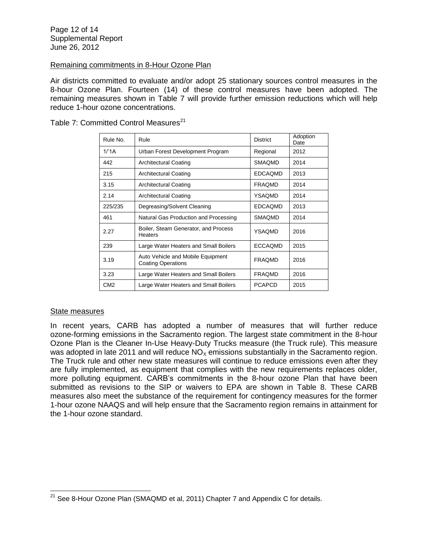#### Remaining commitments in 8-Hour Ozone Plan

Air districts committed to evaluate and/or adopt 25 stationary sources control measures in the 8-hour Ozone Plan. Fourteen (14) of these control measures have been adopted. The remaining measures shown in Table 7 will provide further emission reductions which will help reduce 1-hour ozone concentrations.

Table 7: Committed Control Measures<sup>21</sup>

| Rule No.        | Rule                                                           | District       | Adoption<br>Date |
|-----------------|----------------------------------------------------------------|----------------|------------------|
| 1/1A            | Urban Forest Development Program                               | Regional       | 2012             |
| 442             | <b>Architectural Coating</b>                                   | <b>SMAQMD</b>  | 2014             |
| 215             | Architectural Coating                                          | <b>EDCAQMD</b> | 2013             |
| 3.15            | <b>Architectural Coating</b>                                   | <b>FRAQMD</b>  | 2014             |
| 2.14            | <b>Architectural Coating</b>                                   | YSAQMD         | 2014             |
| 225/235         | Degreasing/Solvent Cleaning                                    | <b>EDCAQMD</b> | 2013             |
| 461             | Natural Gas Production and Processing                          | <b>SMAOMD</b>  | 2014             |
| 2.27            | Boiler, Steam Generator, and Process<br><b>Heaters</b>         | YSAQMD         | 2016             |
| 239             | Large Water Heaters and Small Boilers                          | ECCAQMD        | 2015             |
| 3.19            | Auto Vehicle and Mobile Equipment<br><b>Coating Operations</b> | <b>FRAQMD</b>  | 2016             |
| 3.23            | Large Water Heaters and Small Boilers                          | <b>FRAQMD</b>  | 2016             |
| CM <sub>2</sub> | Large Water Heaters and Small Boilers                          | <b>PCAPCD</b>  | 2015             |

#### State measures

In recent years, CARB has adopted a number of measures that will further reduce ozone-forming emissions in the Sacramento region. The largest state commitment in the 8-hour Ozone Plan is the Cleaner In-Use Heavy-Duty Trucks measure (the Truck rule). This measure was adopted in late 2011 and will reduce  $NO<sub>x</sub>$  emissions substantially in the Sacramento region. The Truck rule and other new state measures will continue to reduce emissions even after they are fully implemented, as equipment that complies with the new requirements replaces older, more polluting equipment. CARB's commitments in the 8-hour ozone Plan that have been submitted as revisions to the SIP or waivers to EPA are shown in Table 8. These CARB measures also meet the substance of the requirement for contingency measures for the former 1-hour ozone NAAQS and will help ensure that the Sacramento region remains in attainment for the 1-hour ozone standard.

 $\overline{\phantom{a}}$  $^{21}$  See 8-Hour Ozone Plan (SMAQMD et al, 2011) Chapter 7 and Appendix C for details.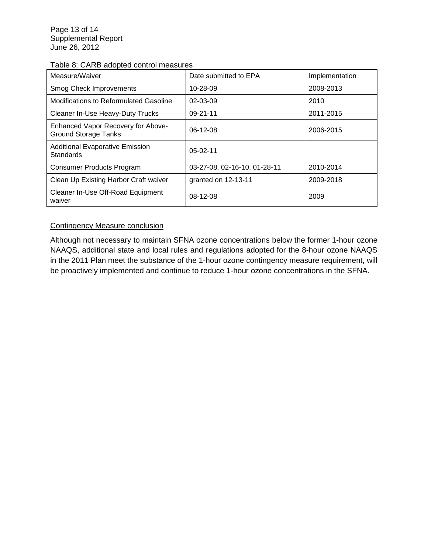## Table 8: CARB adopted control measures

| Measure/Waiver                                                    | Date submitted to EPA        | Implementation |
|-------------------------------------------------------------------|------------------------------|----------------|
| <b>Smog Check Improvements</b>                                    | 10-28-09                     | 2008-2013      |
| Modifications to Reformulated Gasoline                            | $02 - 03 - 09$               | 2010           |
| Cleaner In-Use Heavy-Duty Trucks                                  | $09 - 21 - 11$               | 2011-2015      |
| Enhanced Vapor Recovery for Above-<br><b>Ground Storage Tanks</b> | $06-12-08$                   | 2006-2015      |
| <b>Additional Evaporative Emission</b><br><b>Standards</b>        | $05-02-11$                   |                |
| <b>Consumer Products Program</b>                                  | 03-27-08, 02-16-10, 01-28-11 | 2010-2014      |
| Clean Up Existing Harbor Craft waiver                             | granted on 12-13-11          | 2009-2018      |
| Cleaner In-Use Off-Road Equipment<br>waiver                       | $08-12-08$                   | 2009           |

## Contingency Measure conclusion

Although not necessary to maintain SFNA ozone concentrations below the former 1-hour ozone NAAQS, additional state and local rules and regulations adopted for the 8-hour ozone NAAQS in the 2011 Plan meet the substance of the 1-hour ozone contingency measure requirement, will be proactively implemented and continue to reduce 1-hour ozone concentrations in the SFNA.